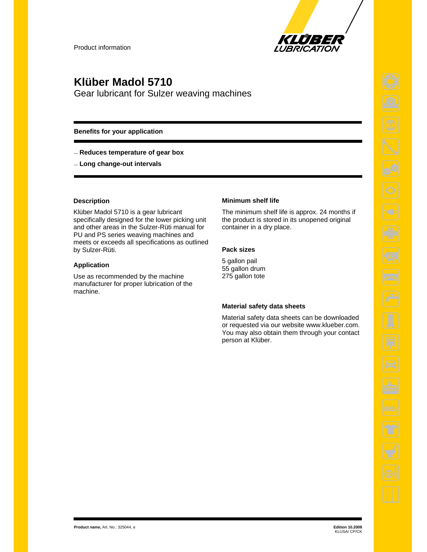

## **Klüber Madol 5710**

Gear lubricant for Sulzer weaving machines

### **Benefits for your application**

— **Reduces temperature of gear box**

— **Long change-out intervals**

### **Description**

Klüber Madol 5710 is a gear lubricant specifically designed for the lower picking unit and other areas in the Sulzer-Rüti manual for PU and PS series weaving machines and meets or exceeds all specifications as outlined by Sulzer-Rüti.

#### **Application**

Use as recommended by the machine manufacturer for proper lubrication of the machine.

#### **Minimum shelf life**

The minimum shelf life is approx. 24 months if the product is stored in its unopened original container in a dry place.

### **Pack sizes**

5 gallon pail 55 gallon drum 275 gallon tote

### **Material safety data sheets**

Material safety data sheets can be downloaded or requested via our website www.klueber.com. You may also obtain them through your contact person at Klüber.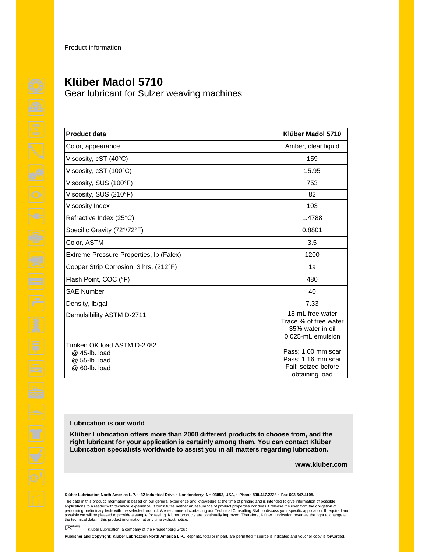Product information

# **Klüber Madol 5710**

Gear lubricant for Sulzer weaving machines

| <b>Product data</b>                                                           | Klüber Madol 5710                                                                     |
|-------------------------------------------------------------------------------|---------------------------------------------------------------------------------------|
| Color, appearance                                                             | Amber, clear liquid                                                                   |
| Viscosity, cST (40°C)                                                         | 159                                                                                   |
| Viscosity, cST (100°C)                                                        | 15.95                                                                                 |
| Viscosity, SUS (100°F)                                                        | 753                                                                                   |
| Viscosity, SUS (210°F)                                                        | 82                                                                                    |
| Viscosity Index                                                               | 103                                                                                   |
| Refractive Index (25°C)                                                       | 1.4788                                                                                |
| Specific Gravity (72°/72°F)                                                   | 0.8801                                                                                |
| Color, ASTM                                                                   | 3.5                                                                                   |
| Extreme Pressure Properties, Ib (Falex)                                       | 1200                                                                                  |
| Copper Strip Corrosion, 3 hrs. (212°F)                                        | 1a                                                                                    |
| Flash Point, COC (°F)                                                         | 480                                                                                   |
| <b>SAE Number</b>                                                             | 40                                                                                    |
| Density, Ib/gal                                                               | 7.33                                                                                  |
| Demulsibility ASTM D-2711                                                     | $18$ -mL free water<br>Trace % of free water<br>35% water in oil<br>0.025-mL emulsion |
| Timken OK load ASTM D-2782<br>@ 45-lb. load<br>@ 55-lb. load<br>@ 60-lb. load | Pass: 1.00 mm scar<br>Pass; 1.16 mm scar<br>Fail; seized before<br>obtaining load     |

### **Lubrication is our world**

**Klüber Lubrication offers more than 2000 different products to choose from, and the right lubricant for your application is certainly among them. You can contact Klüber Lubrication specialists worldwide to assist you in all matters regarding lubrication.** 

**www.kluber.com**

**Klüber Lubrication North America L.P. ~ 32 Industrial Drive ~ Londonderry, NH 03053, USA, ~ Phone 800.447.2238 ~ Fax 603.647.4105.** 

The data in this product information is based on our general experience and knowledge at the time of printing and is intended to give information of possible applications to a reader with technical experience. It constitutes neither an assurance of product properties nor does it release the user from the obligation of performing preliminary tests with the selected product. We recommend contacting our Technical Consulting Staff to discuss your specific application. If required and<br>possible we will be pleased to provide a sample for testi the technical data in this product information at any time without notice.

Klüber Lubrication, a company of the Freudenberg Group

**Publisher and Copyright: Klüber Lubrication North America L.P..** Reprints, total or in part, are permitted if source is indicated and voucher copy is forwarded.